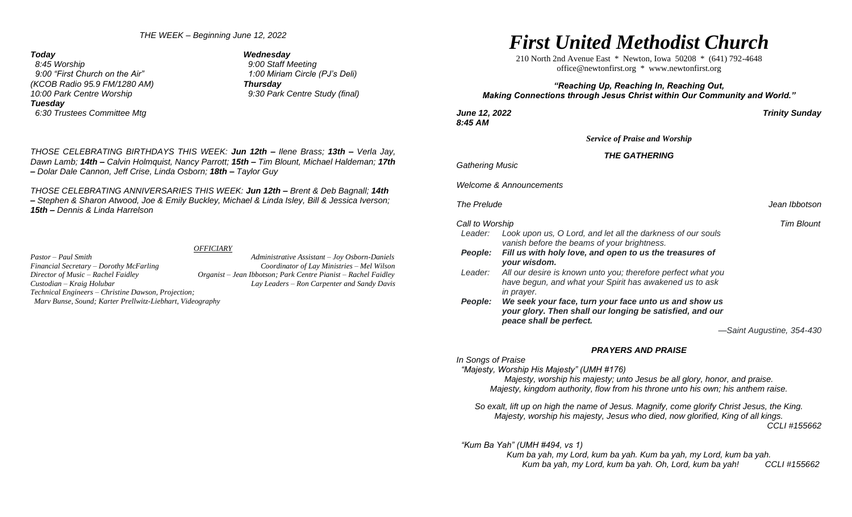#### *THE WEEK – Beginning June 12, 2022*

 *8:45 Worship 9:00 Staff Meeting 9:00 "First Church on the Air" 1:00 Miriam Circle (PJ's Deli) (KCOB Radio 95.9 FM/1280 AM) Thursday 10:00 Park Centre Worship 9:30 Park Centre Study (final) Tuesday 6:30 Trustees Committee Mtg* 

*Today Wednesday*

*THOSE CELEBRATING BIRTHDAYS THIS WEEK: Jun 12th – Ilene Brass; 13th – Verla Jay, Dawn Lamb; 14th – Calvin Holmquist, Nancy Parrott; 15th – Tim Blount, Michael Haldeman; 17th – Dolar Dale Cannon, Jeff Crise, Linda Osborn; 18th – Taylor Guy*

*THOSE CELEBRATING ANNIVERSARIES THIS WEEK: Jun 12th – Brent & Deb Bagnall; 14th – Stephen & Sharon Atwood, Joe & Emily Buckley, Michael & Linda Isley, Bill & Jessica Iverson; 15th – Dennis & Linda Harrelson*

#### *OFFICIARY*

*Financial Secretary – Dorothy McFarling Coordinator of Lay Ministries – Mel Wilson Director of Music – Rachel Faidley Organist – Jean Ibbotson; Park Centre Pianist – Rachel Faidley Custodian – Kraig Holubar Lay Leaders – Ron Carpenter and Sandy Davis Technical Engineers – Christine Dawson, Projection; Marv Bunse, Sound; Karter Prellwitz-Liebhart, Videography*

*Pastor – Paul Smith Administrative Assistant – Joy Osborn-Daniels*

## *First United Methodist Church*

210 North 2nd Avenue East \* Newton, Iowa 50208 \* (641) 792-4648 [office@newtonfirst.org](mailto:office@newtonfirst.org) \* [www.newtonfirst.org](http://www.newtonfirst.org/)

#### *"Reaching Up, Reaching In, Reaching Out, Making Connections through Jesus Christ within Our Community and World."*

*8:45 AM* 

*June 12, 2022 Trinity Sunday*

*Service of Praise and Worship*

*THE GATHERING*

*Gathering Music* 

*Welcome & Announcements*

**The Prelude Jean Ibbotson** 

#### *Call to Worship Tim Blount*

 *Leader: Look upon us, O Lord, and let all the darkness of our souls vanish before the beams of your brightness.*

- *People: Fill us with holy love, and open to us the treasures of your wisdom.*
- *Leader: All our desire is known unto you; therefore perfect what you have begun, and what your Spirit has awakened us to ask in prayer.*
- *People: We seek your face, turn your face unto us and show us your glory. Then shall our longing be satisfied, and our peace shall be perfect.*

*—Saint Augustine, 354-430* 

#### *PRAYERS AND PRAISE*

*In Songs of Praise*

 *"Majesty, Worship His Majesty" (UMH #176)*

*Majesty, worship his majesty; unto Jesus be all glory, honor, and praise. Majesty, kingdom authority, flow from his throne unto his own; his anthem raise.*

*So exalt, lift up on high the name of Jesus. Magnify, come glorify Christ Jesus, the King. Majesty, worship his majesty, Jesus who died, now glorified, King of all kings. CCLI #155662*

 *"Kum Ba Yah" (UMH #494, vs 1)*

*Kum ba yah, my Lord, kum ba yah. Kum ba yah, my Lord, kum ba yah. Kum ba yah, my Lord, kum ba yah. Oh, Lord, kum ba yah! CCLI #155662*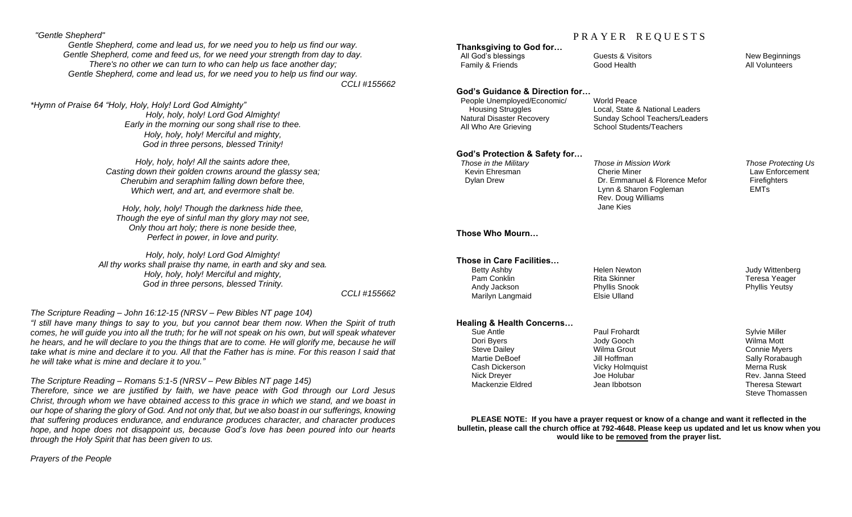*"Gentle Shepherd"*

*Gentle Shepherd, come and lead us, for we need you to help us find our way. Gentle Shepherd, come and feed us, for we need your strength from day to day. There's no other we can turn to who can help us face another day; Gentle Shepherd, come and lead us, for we need you to help us find our way.*

*CCLI #155662*

#### *\*Hymn of Praise 64 "Holy, Holy, Holy! Lord God Almighty" Holy, holy, holy! Lord God Almighty! Early in the morning our song shall rise to thee. Holy, holy, holy! Merciful and mighty,*

*Holy, holy, holy! All the saints adore thee, Casting down their golden crowns around the glassy sea; Cherubim and seraphim falling down before thee, Which wert, and art, and evermore shalt be.*

*God in three persons, blessed Trinity!*

*Holy, holy, holy! Though the darkness hide thee, Though the eye of sinful man thy glory may not see, Only thou art holy; there is none beside thee, Perfect in power, in love and purity.*

*Holy, holy, holy! Lord God Almighty! All thy works shall praise thy name, in earth and sky and sea. Holy, holy, holy! Merciful and mighty, God in three persons, blessed Trinity.* 

*CCLI #155662*

*The Scripture Reading – John 16:12-15 (NRSV – Pew Bibles NT page 104) "I still have many things to say to you, but you cannot bear them now. When the Spirit of truth comes, he will guide you into all the truth; for he will not speak on his own, but will speak whatever he hears, and he will declare to you the things that are to come. He will glorify me, because he will take what is mine and declare it to you. All that the Father has is mine. For this reason I said that he will take what is mine and declare it to you."*

*The Scripture Reading – Romans 5:1-5 (NRSV – Pew Bibles NT page 145)*

*Therefore, since we are justified by faith, we have peace with God through our Lord Jesus Christ, through whom we have obtained access to this grace in which we stand, and we boast in our hope of sharing the glory of God. And not only that, but we also boast in our sufferings, knowing that suffering produces endurance, and endurance produces character, and character produces hope, and hope does not disappoint us, because God's love has been poured into our hearts through the Holy Spirit that has been given to us.*

*Prayers of the People*

### PRAYER REQUESTS

**Thanksgiving to God for…** All God's blessings The Guests & Visitors New Beginnings New Beginnings

Family & Friends **Friends** Good Health **All Volunteers** All Volunteers

#### **God's Guidance & Direction for…**

 People Unemployed/Economic/ World Peace All Who Are Grieving School Students/Teachers

 Housing Struggles Local, State & National Leaders Sunday School Teachers/Leaders

#### **God's Protection & Safety for…**

 *Those in the Military Those in Mission Work Those Protecting Us* Kevin Ehresman Cherie Miner Law Enforcement Cherie Miner Dylan Drew Dr. Emmanuel & Florence Mefor Firefighters Lynn & Sharon Fogleman **EMTs** Jane Kies

**Those Who Mourn…**

| Those in Care Facilities…                  |                                                                    |                                                                         |
|--------------------------------------------|--------------------------------------------------------------------|-------------------------------------------------------------------------|
| Betty Ashby<br>Pam Conklin<br>Andy Jackson | <b>Helen Newton</b><br><b>Rita Skinner</b><br><b>Phyllis Snook</b> | <b>Judy Wittenberg</b><br><b>Teresa Yeager</b><br><b>Phyllis Yeutsy</b> |
| Marilyn Langmaid                           | Elsie Ulland                                                       |                                                                         |
| <b>Healing &amp; Health Concerns</b>       |                                                                    |                                                                         |
| Sue Antle                                  | Paul Frohardt                                                      | <b>Sylvie Miller</b>                                                    |
| Dori Byers                                 | Jody Gooch                                                         | Wilma Mott                                                              |
| <b>Steve Dailey</b>                        | Wilma Grout                                                        | <b>Connie Myers</b>                                                     |
|                                            |                                                                    |                                                                         |

| Martie DeBoef    | Jill Hoffman    | Sally Rorabaugh        |
|------------------|-----------------|------------------------|
| Cash Dickerson   | Vicky Holmquist | Merna Rusk             |
| Nick Dreyer      | Joe Holubar     | Rev. Janna Steed       |
| Mackenzie Eldred | Jean Ibbotson   | <b>Theresa Stewart</b> |
|                  |                 | Steve Thomassen        |
|                  |                 |                        |

**PLEASE NOTE: If you have a prayer request or know of a change and want it reflected in the bulletin, please call the church office at 792-4648. Please keep us updated and let us know when you would like to be removed from the prayer list.**

# Rev. Doug Williams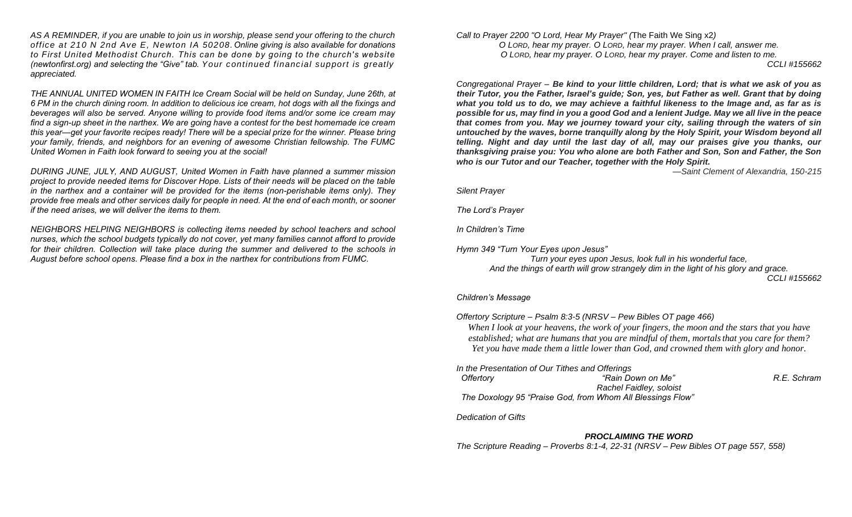*AS A REMINDER, if you are unable to join us in worship, please send your offering to the church office at 210 N 2nd Ave E, Newton IA 50208.Online giving is also available for donations to First United Methodist Church. This can be done by going to the church's website (newtonfirst.org) and selecting the "Give" tab. Your continued financial support is greatly appreciated.*

*THE ANNUAL UNITED WOMEN IN FAITH Ice Cream Social will be held on Sunday, June 26th, at 6 PM in the church dining room. In addition to delicious ice cream, hot dogs with all the fixings and beverages will also be served. Anyone willing to provide food items and/or some ice cream may find a sign-up sheet in the narthex. We are going have a contest for the best homemade ice cream this year—get your favorite recipes ready! There will be a special prize for the winner. Please bring your family, friends, and neighbors for an evening of awesome Christian fellowship. The FUMC United Women in Faith look forward to seeing you at the social!*

*DURING JUNE, JULY, AND AUGUST, United Women in Faith have planned a summer mission project to provide needed items for Discover Hope. Lists of their needs will be placed on the table in the narthex and a container will be provided for the items (non-perishable items only). They provide free meals and other services daily for people in need. At the end of each month, or sooner if the need arises, we will deliver the items to them.* 

*NEIGHBORS HELPING NEIGHBORS is collecting items needed by school teachers and school nurses, which the school budgets typically do not cover, yet many families cannot afford to provide for their children. Collection will take place during the summer and delivered to the schools in August before school opens. Please find a box in the narthex for contributions from FUMC.* 

*Call to Prayer 2200 "O Lord, Hear My Prayer" (*The Faith We Sing x2*) O LORD, hear my prayer. O LORD, hear my prayer. When I call, answer me. O LORD, hear my prayer. O LORD, hear my prayer. Come and listen to me.* 

*CCLI #155662*

*Congregational Prayer – Be kind to your little children, Lord; that is what we ask of you as their Tutor, you the Father, Israel's guide; Son, yes, but Father as well. Grant that by doing what you told us to do, we may achieve a faithful likeness to the Image and, as far as is possible for us, may find in you a good God and a lenient Judge. May we all live in the peace that comes from you. May we journey toward your city, sailing through the waters of sin untouched by the waves, borne tranquilly along by the Holy Spirit, your Wisdom beyond all telling. Night and day until the last day of all, may our praises give you thanks, our thanksgiving praise you: You who alone are both Father and Son, Son and Father, the Son who is our Tutor and our Teacher, together with the Holy Spirit.*

*—Saint Clement of Alexandria, 150-215*

*Silent Prayer*

*The Lord's Prayer*

*In Children's Time* 

*Hymn 349 "Turn Your Eyes upon Jesus"*

*Turn your eyes upon Jesus, look full in his wonderful face, And the things of earth will grow strangely dim in the light of his glory and grace. CCLI #155662*

#### *Children's Message*

#### *Offertory Scripture – Psalm 8:3-5 (NRSV – Pew Bibles OT page 466)*

*When I look at your heavens, the work of your fingers, the moon and the stars that you have established; what are humans that you are mindful of them, mortalsthat you care for them? Yet you have made them a little lower than God, and crowned them with glory and honor.*

*In the Presentation of Our Tithes and Offerings Offertory "Rain Down on Me" R.E. Schram*

*Rachel Faidley, soloist The Doxology 95 "Praise God, from Whom All Blessings Flow"*

*Dedication of Gifts*

#### *PROCLAIMING THE WORD*

*The Scripture Reading – Proverbs 8:1-4, 22-31 (NRSV – Pew Bibles OT page 557, 558)*